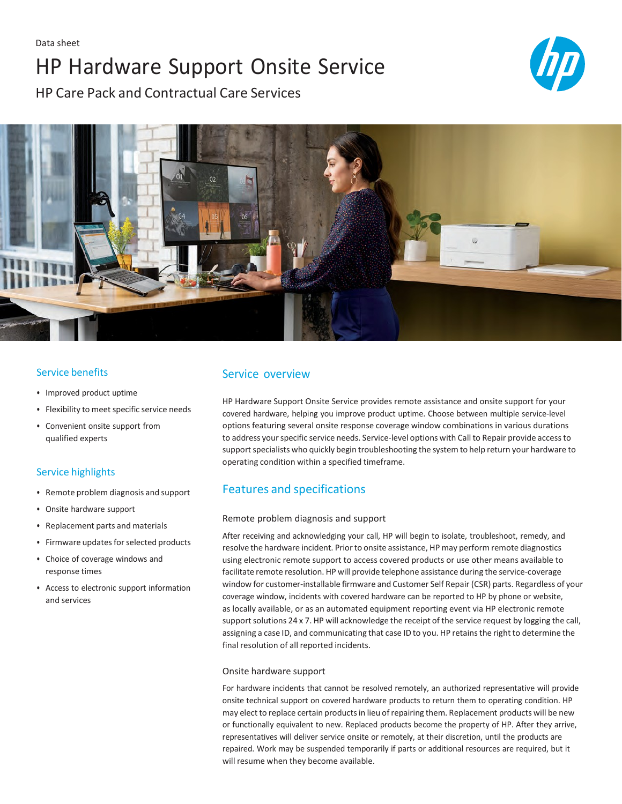# HP Hardware Support Onsite Service



HP Care Pack and Contractual Care Services



### Service benefits

- Improved product uptime
- Flexibility to meet specific service needs
- Convenient onsite support from qualified experts

### Service highlights

- Remote problem diagnosis and support
- Onsite hardware support
- Replacement parts and materials
- Firmware updates for selected products
- Choice of coverage windows and response times
- Access to electronic support information and services

# Service overview

HP Hardware Support Onsite Service provides remote assistance and onsite support for your covered hardware, helping you improve product uptime. Choose between multiple service-level options featuring several onsite response coverage window combinations in various durations to address yourspecific service needs. Service-level options with Call to Repair provide accessto support specialists who quickly begin troubleshooting the system to help return your hardware to operating condition within a specified timeframe.

# Features and specifications

#### Remote problem diagnosis and support

After receiving and acknowledging your call, HP will begin to isolate, troubleshoot, remedy, and resolve the hardware incident. Prior to onsite assistance, HP may perform remote diagnostics using electronic remote support to access covered products or use other means available to facilitate remote resolution. HP will provide telephone assistance during the service-coverage window for customer-installable firmware and Customer Self Repair (CSR) parts. Regardless of your coverage window, incidents with covered hardware can be reported to HP by phone or website, as locally available, or as an automated equipment reporting event via HP electronic remote support solutions 24 x 7. HP will acknowledge the receipt of the service request by logging the call, assigning a case ID, and communicating that case ID to you. HP retainsthe right to determine the final resolution of all reported incidents.

#### Onsite hardware support

For hardware incidents that cannot be resolved remotely, an authorized representative will provide onsite technical support on covered hardware products to return them to operating condition. HP may elect to replace certain productsin lieu of repairing them. Replacement products will be new or functionally equivalent to new. Replaced products become the property of HP. After they arrive, representatives will deliver service onsite or remotely, at their discretion, until the products are repaired. Work may be suspended temporarily if parts or additional resources are required, but it will resume when they become available.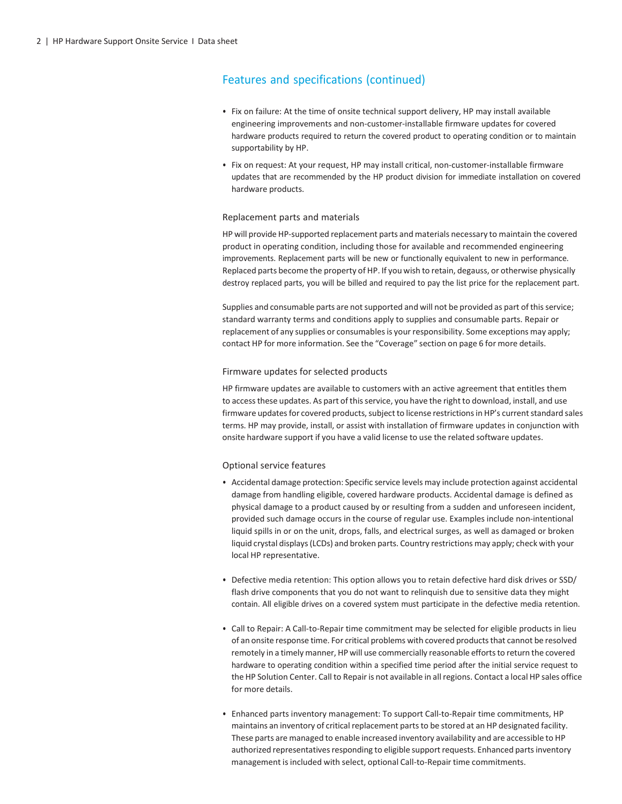# Features and specifications (continued)

- Fix on failure: At the time of onsite technical support delivery, HP may install available engineering improvements and non-customer-installable firmware updates for covered hardware products required to return the covered product to operating condition or to maintain supportability by HP.
- Fix on request: At your request, HP may install critical, non-customer-installable firmware updates that are recommended by the HP product division for immediate installation on covered hardware products.

#### Replacement parts and materials

HP will provide HP-supported replacement parts and materials necessary to maintain the covered product in operating condition, including those for available and recommended engineering improvements. Replacement parts will be new or functionally equivalent to new in performance. Replaced parts become the property of HP. If you wish to retain, degauss, or otherwise physically destroy replaced parts, you will be billed and required to pay the list price for the replacement part.

Supplies and consumable parts are not supported and will not be provided as part of this service; standard warranty terms and conditions apply to supplies and consumable parts. Repair or replacement of any supplies or consumables is your responsibility. Some exceptions may apply; contact HP for more information. See the "Coverage" section on page 6 for more details.

#### Firmware updates for selected products

HP firmware updates are available to customers with an active agreement that entitles them to access these updates. As part of this service, you have the right to download, install, and use firmware updates for covered products, subject to license restrictions in HP's current standard sales terms. HP may provide, install, or assist with installation of firmware updates in conjunction with onsite hardware support if you have a valid license to use the related software updates.

#### Optional service features

- Accidental damage protection: Specific service levels may include protection against accidental damage from handling eligible, covered hardware products. Accidental damage is defined as physical damage to a product caused by or resulting from a sudden and unforeseen incident, provided such damage occurs in the course of regular use. Examples include non-intentional liquid spills in or on the unit, drops, falls, and electrical surges, as well as damaged or broken liquid crystal displays(LCDs) and broken parts. Country restrictions may apply; check with your local HP representative.
- Defective media retention: This option allows you to retain defective hard disk drives or SSD/ flash drive components that you do not want to relinquish due to sensitive data they might contain. All eligible drives on a covered system must participate in the defective media retention.
- Call to Repair: A Call-to-Repair time commitment may be selected for eligible products in lieu of an onsite response time. For critical problems with covered products that cannot be resolved remotely in a timely manner, HP will use commercially reasonable efforts to return the covered hardware to operating condition within a specified time period after the initial service request to the HP Solution Center. Call to Repairis not available in allregions. Contact a local HP sales office for more details.
- Enhanced parts inventory management: To support Call-to-Repair time commitments, HP maintains an inventory of critical replacement parts to be stored at an HP designated facility. These parts are managed to enable increased inventory availability and are accessible to HP authorized representatives responding to eligible support requests. Enhanced parts inventory management is included with select, optional Call-to-Repair time commitments.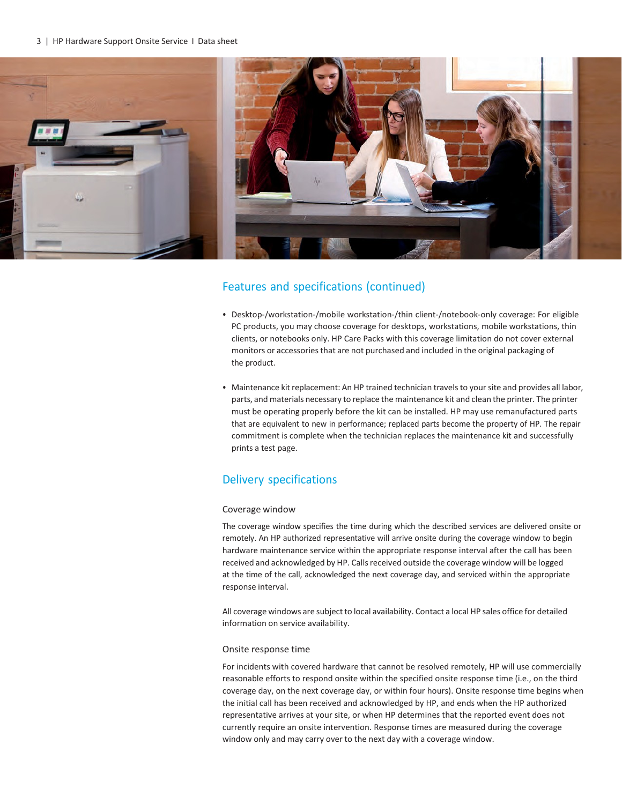3 | HP Hardware Support Onsite Service I Data sheet



### Features and specifications (continued)

- Desktop-/workstation-/mobile workstation-/thin client-/notebook-only coverage: For eligible PC products, you may choose coverage for desktops, workstations, mobile workstations, thin clients, or notebooks only. HP Care Packs with this coverage limitation do not cover external monitors or accessories that are not purchased and included in the original packaging of the product.
- Maintenance kit replacement: An HP trained technician travels to your site and provides all labor, parts, and materials necessary to replace the maintenance kit and clean the printer. The printer must be operating properly before the kit can be installed. HP may use remanufactured parts that are equivalent to new in performance; replaced parts become the property of HP. The repair commitment is complete when the technician replaces the maintenance kit and successfully prints a test page.

# Delivery specifications

#### Coverage window

The coverage window specifies the time during which the described services are delivered onsite or remotely. An HP authorized representative will arrive onsite during the coverage window to begin hardware maintenance service within the appropriate response interval after the call has been received and acknowledged by HP. Callsreceived outside the coverage window will be logged at the time of the call, acknowledged the next coverage day, and serviced within the appropriate response interval.

All coverage windows are subject to local availability. Contact a local HP sales office for detailed information on service availability.

#### Onsite response time

For incidents with covered hardware that cannot be resolved remotely, HP will use commercially reasonable efforts to respond onsite within the specified onsite response time (i.e., on the third coverage day, on the next coverage day, or within four hours). Onsite response time begins when the initial call has been received and acknowledged by HP, and ends when the HP authorized representative arrives at your site, or when HP determines that the reported event does not currently require an onsite intervention. Response times are measured during the coverage window only and may carry over to the next day with a coverage window.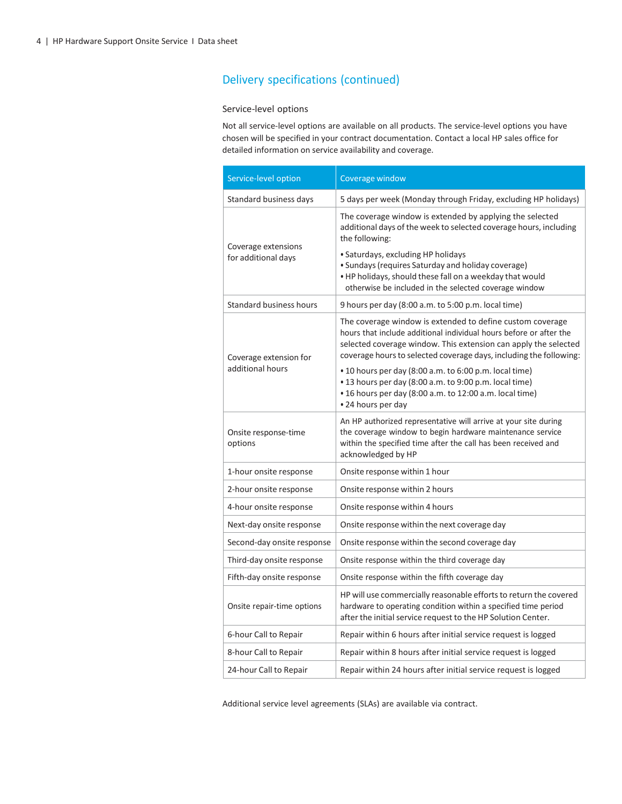#### Service-level options

Not all service-level options are available on all products. The service-level options you have chosen will be specified in your contract documentation. Contact a local HP sales office for detailed information on service availability and coverage.

| Service-level option                       | Coverage window                                                                                                                                                                                                                                                          |
|--------------------------------------------|--------------------------------------------------------------------------------------------------------------------------------------------------------------------------------------------------------------------------------------------------------------------------|
| Standard business days                     | 5 days per week (Monday through Friday, excluding HP holidays)                                                                                                                                                                                                           |
| Coverage extensions<br>for additional days | The coverage window is extended by applying the selected<br>additional days of the week to selected coverage hours, including<br>the following:                                                                                                                          |
|                                            | • Saturdays, excluding HP holidays<br>· Sundays (requires Saturday and holiday coverage)<br>. HP holidays, should these fall on a weekday that would<br>otherwise be included in the selected coverage window                                                            |
| Standard business hours                    | 9 hours per day (8:00 a.m. to 5:00 p.m. local time)                                                                                                                                                                                                                      |
| Coverage extension for<br>additional hours | The coverage window is extended to define custom coverage<br>hours that include additional individual hours before or after the<br>selected coverage window. This extension can apply the selected<br>coverage hours to selected coverage days, including the following: |
|                                            | • 10 hours per day (8:00 a.m. to 6:00 p.m. local time)<br>. 13 hours per day (8:00 a.m. to 9:00 p.m. local time)<br>• 16 hours per day (8:00 a.m. to 12:00 a.m. local time)<br>• 24 hours per day                                                                        |
| Onsite response-time<br>options            | An HP authorized representative will arrive at your site during<br>the coverage window to begin hardware maintenance service<br>within the specified time after the call has been received and<br>acknowledged by HP                                                     |
| 1-hour onsite response                     | Onsite response within 1 hour                                                                                                                                                                                                                                            |
| 2-hour onsite response                     | Onsite response within 2 hours                                                                                                                                                                                                                                           |
| 4-hour onsite response                     | Onsite response within 4 hours                                                                                                                                                                                                                                           |
| Next-day onsite response                   | Onsite response within the next coverage day                                                                                                                                                                                                                             |
| Second-day onsite response                 | Onsite response within the second coverage day                                                                                                                                                                                                                           |
| Third-day onsite response                  | Onsite response within the third coverage day                                                                                                                                                                                                                            |
| Fifth-day onsite response                  | Onsite response within the fifth coverage day                                                                                                                                                                                                                            |
| Onsite repair-time options                 | HP will use commercially reasonable efforts to return the covered<br>hardware to operating condition within a specified time period<br>after the initial service request to the HP Solution Center.                                                                      |
| 6-hour Call to Repair                      | Repair within 6 hours after initial service request is logged                                                                                                                                                                                                            |
| 8-hour Call to Repair                      | Repair within 8 hours after initial service request is logged                                                                                                                                                                                                            |
| 24-hour Call to Repair                     | Repair within 24 hours after initial service request is logged                                                                                                                                                                                                           |

Additional service level agreements (SLAs) are available via contract.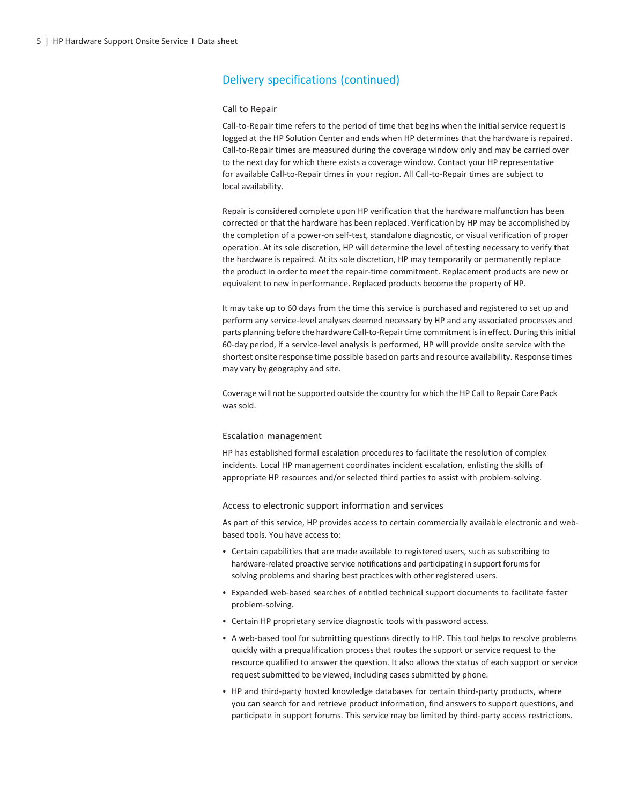#### Call to Repair

Call-to-Repair time refers to the period of time that begins when the initial service request is logged at the HP Solution Center and ends when HP determines that the hardware is repaired. Call-to-Repair times are measured during the coverage window only and may be carried over to the next day for which there exists a coverage window. Contact your HP representative for available Call-to-Repair times in your region. All Call-to-Repair times are subject to local availability.

Repair is considered complete upon HP verification that the hardware malfunction has been corrected or that the hardware has been replaced. Verification by HP may be accomplished by the completion of a power-on self-test, standalone diagnostic, or visual verification of proper operation. At its sole discretion, HP will determine the level of testing necessary to verify that the hardware is repaired. At its sole discretion, HP may temporarily or permanently replace the product in order to meet the repair-time commitment. Replacement products are new or equivalent to new in performance. Replaced products become the property of HP.

It may take up to 60 days from the time this service is purchased and registered to set up and perform any service-level analyses deemed necessary by HP and any associated processes and parts planning before the hardware Call-to-Repair time commitment is in effect. During this initial 60-day period, if a service-level analysis is performed, HP will provide onsite service with the shortest onsite response time possible based on parts and resource availability. Response times may vary by geography and site.

Coverage will not be supported outside the country for which theHP Call to Repair Care Pack was sold.

#### Escalation management

HP has established formal escalation procedures to facilitate the resolution of complex incidents. Local HP management coordinates incident escalation, enlisting the skills of appropriate HP resources and/or selected third parties to assist with problem-solving.

#### Access to electronic support information and services

As part of this service, HP provides access to certain commercially available electronic and webbased tools. You have access to:

- Certain capabilities that are made available to registered users, such as subscribing to hardware-related proactive service notifications and participating in support forums for solving problems and sharing best practices with other registered users.
- Expanded web-based searches of entitled technical support documents to facilitate faster problem-solving.
- Certain HP proprietary service diagnostic tools with password access.
- A web-based tool for submitting questions directly to HP. This tool helps to resolve problems quickly with a prequalification process that routes the support or service request to the resource qualified to answer the question. It also allows the status of each support or service request submitted to be viewed, including cases submitted by phone.
- HP and third-party hosted knowledge databases for certain third-party products, where you can search for and retrieve product information, find answers to support questions, and participate in support forums. This service may be limited by third-party access restrictions.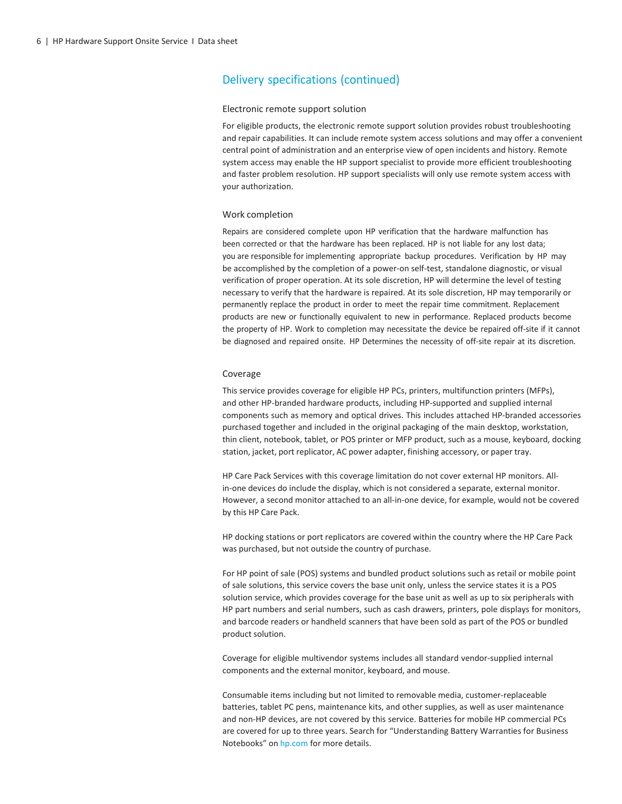#### Electronic remote support solution

For eligible products, the electronic remote support solution provides robust troubleshooting and repair capabilities. It can include remote system access solutions and may offer a convenient central point of administration and an enterprise view of open incidents and history. Remote system access may enable the HP support specialist to provide more efficient troubleshooting and faster problem resolution. HP support specialists will only use remote system access with your authorization.

#### Work completion

Repairs are considered complete upon HP verification that the hardware malfunction has been corrected or that the hardware has been replaced. HP is not liable for any lost data; you are responsible for implementing appropriate backup procedures. Verification by HP may be accomplished by the completion of a power-on self-test, standalone diagnostic, or visual verification of proper operation. At its sole discretion, HP will determine the level of testing necessary to verify that the hardware is repaired. At its sole discretion, HP may temporarily or permanently replace the product in order to meet the repair time commitment. Replacement products are new or functionally equivalent to new in performance. Replaced products become the property of HP. Work to completion may necessitate the device be repaired off-site if it cannot be diagnosed and repaired onsite. HP Determines the necessity of off-site repair at its discretion.

#### Coverage

This service provides coverage for eligible HP PCs, printers, multifunction printers (MFPs), and other HP-branded hardware products, including HP-supported and supplied internal components such as memory and optical drives. This includes attached HP-branded accessories purchased together and included in the original packaging of the main desktop, workstation, thin client, notebook, tablet, or POS printer or MFP product, such as a mouse, keyboard, docking station, jacket, port replicator, AC power adapter, finishing accessory, or paper tray.

HP Care Pack Services with this coverage limitation do not cover external HP monitors. Allin-one devices do include the display, which is not considered a separate, external monitor. However, a second monitor attached to an all-in-one device, for example, would not be covered by this HP Care Pack.

HP docking stations or port replicators are covered within the country where the HP Care Pack was purchased, but not outside the country of purchase.

For HP point of sale (POS) systems and bundled product solutions such as retail or mobile point of sale solutions, this service covers the base unit only, unless the service states it is a POS solution service, which provides coverage for the base unit as well as up to six peripherals with HP part numbers and serial numbers, such as cash drawers, printers, pole displays for monitors, and barcode readers or handheld scanners that have been sold as part of the POS or bundled product solution.

Coverage for eligible multivendor systems includes all standard vendor-supplied internal components and the external monitor, keyboard, and mouse.

Consumable items including but not limited to removable media, customer-replaceable batteries, tablet PC pens, maintenance kits, and other supplies, as well as user maintenance and non-HP devices, are not covered by this service. Batteries for mobile HP commercial PCs are covered for up to three years. Search for "Understanding Battery Warranties for Business Notebooks" on [hp.com](http://www.hp.com/) for more details.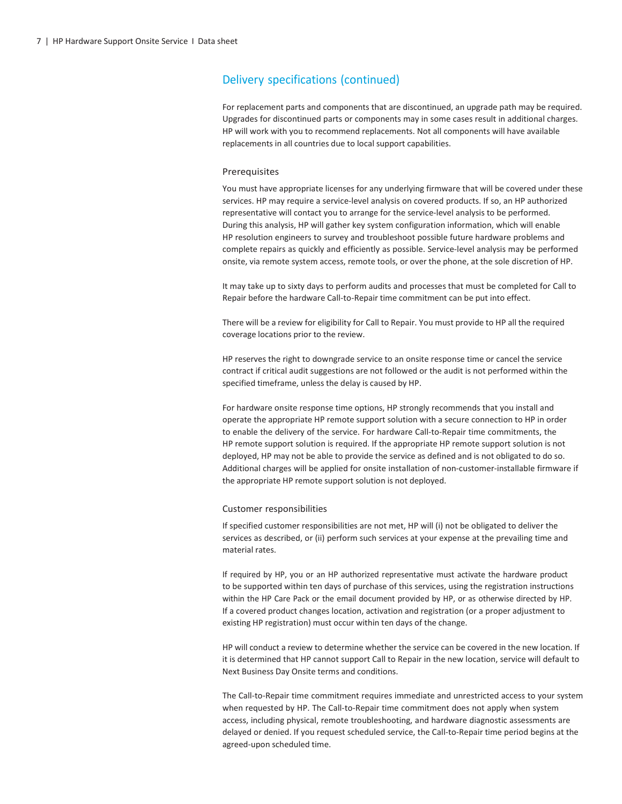For replacement parts and components that are discontinued, an upgrade path may be required. Upgrades for discontinued parts or components may in some cases result in additional charges. HP will work with you to recommend replacements. Not all components will have available replacements in all countries due to local support capabilities.

#### Prerequisites

You must have appropriate licenses for any underlying firmware that will be covered under these services. HP may require a service-level analysis on covered products. If so, an HP authorized representative will contact you to arrange for the service-level analysis to be performed. During this analysis, HP will gather key system configuration information, which will enable HP resolution engineers to survey and troubleshoot possible future hardware problems and complete repairs as quickly and efficiently as possible. Service-level analysis may be performed onsite, via remote system access, remote tools, or over the phone, at the sole discretion of HP.

It may take up to sixty days to perform audits and processes that must be completed for Call to Repair before the hardware Call-to-Repair time commitment can be put into effect.

There will be a review for eligibility for Call to Repair. You must provide to HP all the required coverage locations prior to the review.

HP reserves the right to downgrade service to an onsite response time or cancel the service contract if critical audit suggestions are not followed or the audit is not performed within the specified timeframe, unless the delay is caused by HP.

For hardware onsite response time options, HP strongly recommends that you install and operate the appropriate HP remote support solution with a secure connection to HP in order to enable the delivery of the service. For hardware Call-to-Repair time commitments, the HP remote support solution is required. If the appropriate HP remote support solution is not deployed, HP may not be able to provide the service as defined and is not obligated to do so. Additional charges will be applied for onsite installation of non-customer-installable firmware if the appropriate HP remote support solution is not deployed.

#### Customer responsibilities

If specified customer responsibilities are not met, HP will (i) not be obligated to deliver the services as described, or (ii) perform such services at your expense at the prevailing time and material rates.

If required by HP, you or an HP authorized representative must activate the hardware product to be supported within ten days of purchase of this services, using the registration instructions within the HP Care Pack or the email document provided by HP, or as otherwise directed by HP. If a covered product changes location, activation and registration (or a proper adjustment to existing HP registration) must occur within ten days of the change.

HP will conduct a review to determine whether the service can be covered in the new location. If it is determined that HP cannot support Call to Repair in the new location, service will default to Next Business Day Onsite terms and conditions.

The Call-to-Repair time commitment requires immediate and unrestricted access to your system when requested by HP. The Call-to-Repair time commitment does not apply when system access, including physical, remote troubleshooting, and hardware diagnostic assessments are delayed or denied. If you request scheduled service, the Call-to-Repair time period begins at the agreed-upon scheduled time.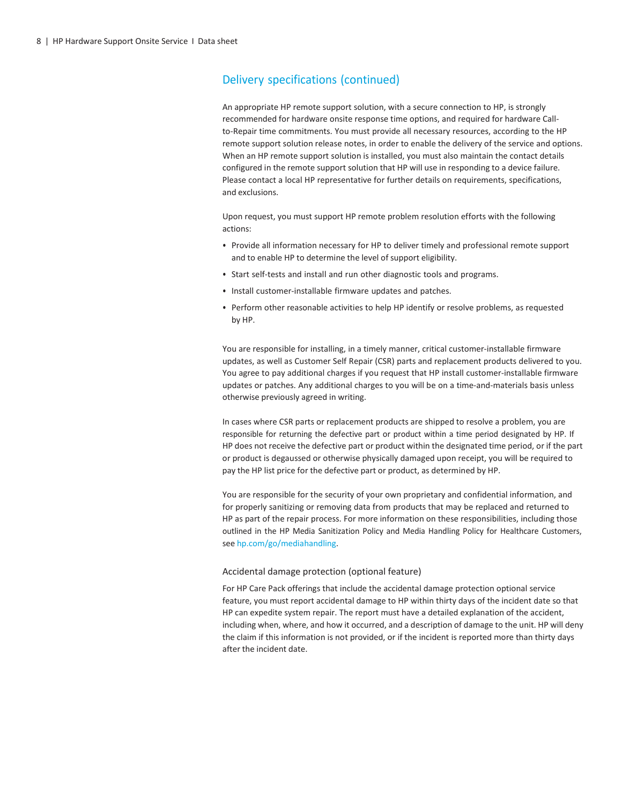An appropriate HP remote support solution, with a secure connection to HP, is strongly recommended for hardware onsite response time options, and required for hardware Callto-Repair time commitments. You must provide all necessary resources, according to the HP remote support solution release notes, in order to enable the delivery of the service and options. When an HP remote support solution is installed, you must also maintain the contact details configured in the remote support solution that HP will use in responding to a device failure. Please contact a local HP representative for further details on requirements, specifications, and exclusions.

Upon request, you must support HP remote problem resolution efforts with the following actions:

- Provide all information necessary for HP to deliver timely and professional remote support and to enable HP to determine the level of support eligibility.
- Start self-tests and install and run other diagnostic tools and programs.
- Install customer-installable firmware updates and patches.
- Perform other reasonable activities to help HP identify or resolve problems, as requested by HP.

You are responsible for installing, in a timely manner, critical customer-installable firmware updates, as well as Customer Self Repair (CSR) parts and replacement products delivered to you. You agree to pay additional charges if you request that HP install customer-installable firmware updates or patches. Any additional charges to you will be on a time-and-materials basis unless otherwise previously agreed in writing.

In cases where CSR parts or replacement products are shipped to resolve a problem, you are responsible for returning the defective part or product within a time period designated by HP. If HP does not receive the defective part or product within the designated time period, or if the part or product is degaussed or otherwise physically damaged upon receipt, you will be required to pay the HP list price for the defective part or product, as determined by HP.

You are responsible for the security of your own proprietary and confidential information, and for properly sanitizing or removing data from products that may be replaced and returned to HP as part of the repair process. For more information on these responsibilities, including those outlined in the HP Media Sanitization Policy and Media Handling Policy for Healthcare Customers, see [hp.com/go/mediahandling.](http://www.hp.com/go/mediahandling)

#### Accidental damage protection (optional feature)

For HP Care Pack offerings that include the accidental damage protection optional service feature, you must report accidental damage to HP within thirty days of the incident date so that HP can expedite system repair. The report must have a detailed explanation of the accident, including when, where, and how it occurred, and a description of damage to the unit. HP will deny the claim if this information is not provided, or if the incident is reported more than thirty days after the incident date.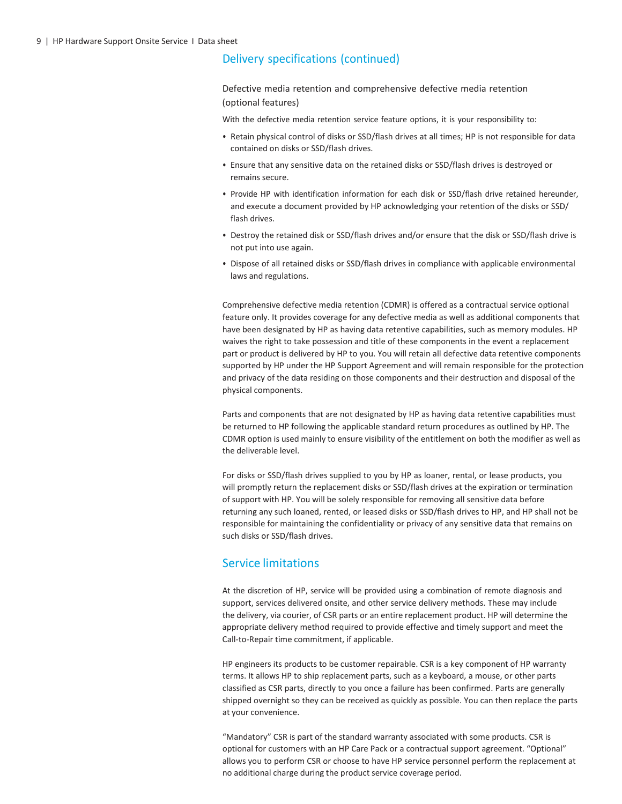Defective media retention and comprehensive defective media retention (optional features)

With the defective media retention service feature options, it is your responsibility to:

- Retain physical control of disks or SSD/flash drives at all times; HP is not responsible for data contained on disks or SSD/flash drives.
- Ensure that any sensitive data on the retained disks or SSD/flash drives is destroyed or remains secure.
- Provide HP with identification information for each disk or SSD/flash drive retained hereunder, and execute a document provided by HP acknowledging your retention of the disks or SSD/ flash drives.
- Destroy the retained disk or SSD/flash drives and/or ensure that the disk or SSD/flash drive is not put into use again.
- Dispose of all retained disks or SSD/flash drives in compliance with applicable environmental laws and regulations.

Comprehensive defective media retention (CDMR) is offered as a contractual service optional feature only. It provides coverage for any defective media as well as additional components that have been designated by HP as having data retentive capabilities, such as memory modules. HP waives the right to take possession and title of these components in the event a replacement part or product is delivered by HP to you. You will retain all defective data retentive components supported by HP under the HP Support Agreement and will remain responsible for the protection and privacy of the data residing on those components and their destruction and disposal of the physical components.

Parts and components that are not designated by HP as having data retentive capabilities must be returned to HP following the applicable standard return procedures as outlined by HP. The CDMR option is used mainly to ensure visibility of the entitlement on both the modifier as well as the deliverable level.

For disks or SSD/flash drives supplied to you by HP as loaner, rental, or lease products, you will promptly return the replacement disks or SSD/flash drives at the expiration or termination of support with HP. You will be solely responsible for removing all sensitive data before returning any such loaned, rented, or leased disks or SSD/flash drives to HP, and HP shall not be responsible for maintaining the confidentiality or privacy of any sensitive data that remains on such disks or SSD/flash drives.

### Service limitations

At the discretion of HP, service will be provided using a combination of remote diagnosis and support, services delivered onsite, and other service delivery methods. These may include the delivery, via courier, of CSR parts or an entire replacement product. HP will determine the appropriate delivery method required to provide effective and timely support and meet the Call-to-Repair time commitment, if applicable.

HP engineers its products to be customer repairable. CSR is a key component of HP warranty terms. It allows HP to ship replacement parts, such as a keyboard, a mouse, or other parts classified as CSR parts, directly to you once a failure has been confirmed. Parts are generally shipped overnight so they can be received as quickly as possible. You can then replace the parts at your convenience.

"Mandatory" CSR is part of the standard warranty associated with some products. CSR is optional for customers with an HP Care Pack or a contractual support agreement. "Optional" allows you to perform CSR or choose to have HP service personnel perform the replacement at no additional charge during the product service coverage period.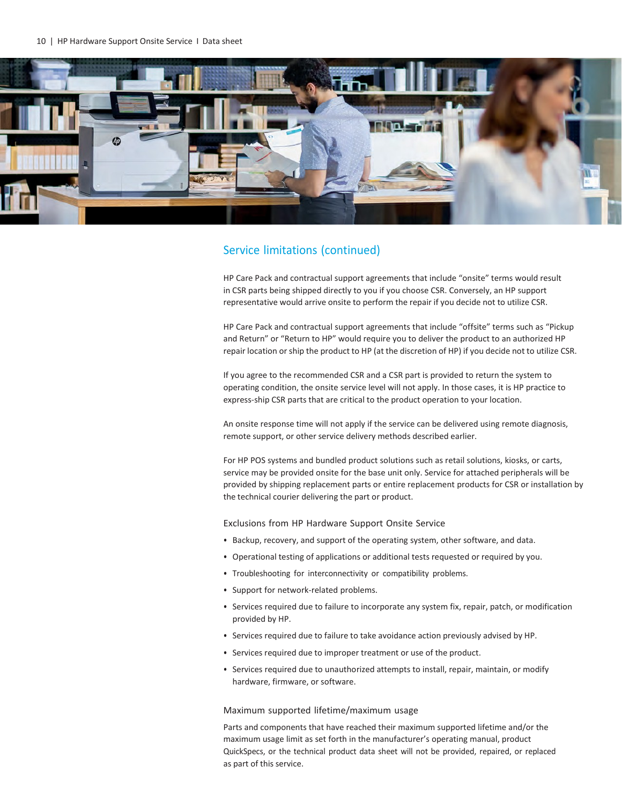

HP Care Pack and contractual support agreements that include "onsite" terms would result in CSR parts being shipped directly to you if you choose CSR. Conversely, an HP support representative would arrive onsite to perform the repair if you decide not to utilize CSR.

HP Care Pack and contractual support agreements that include "offsite" terms such as "Pickup and Return" or "Return to HP" would require you to deliver the product to an authorized HP repair location or ship the product to HP (at the discretion of HP) if you decide not to utilize CSR.

If you agree to the recommended CSR and a CSR part is provided to return the system to operating condition, the onsite service level will not apply. In those cases, it is HP practice to express-ship CSR parts that are critical to the product operation to your location.

An onsite response time will not apply if the service can be delivered using remote diagnosis, remote support, or other service delivery methods described earlier.

For HP POS systems and bundled product solutions such as retail solutions, kiosks, or carts, service may be provided onsite for the base unit only. Service for attached peripherals will be provided by shipping replacement parts or entire replacement products for CSR or installation by the technical courier delivering the part or product.

Exclusions from HP Hardware Support Onsite Service

- Backup, recovery, and support of the operating system, other software, and data.
- Operational testing of applications or additional tests requested or required by you.
- Troubleshooting for interconnectivity or compatibility problems.
- Support for network-related problems.
- Services required due to failure to incorporate any system fix, repair, patch, or modification provided by HP.
- Services required due to failure to take avoidance action previously advised by HP.
- Services required due to improper treatment or use of the product.
- Services required due to unauthorized attempts to install, repair, maintain, or modify hardware, firmware, or software.

#### Maximum supported lifetime/maximum usage

Parts and components that have reached their maximum supported lifetime and/or the maximum usage limit as set forth in the manufacturer's operating manual, product QuickSpecs, or the technical product data sheet will not be provided, repaired, or replaced as part of this service.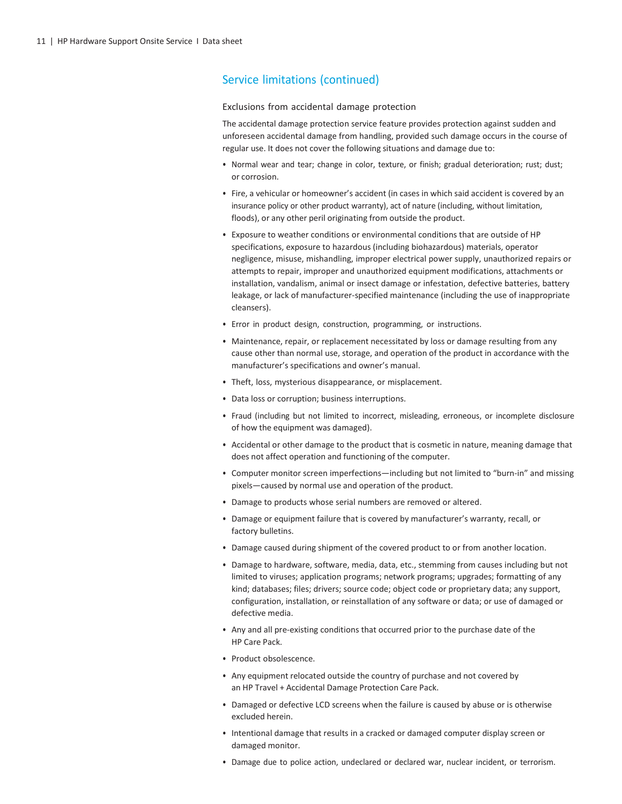#### Exclusions from accidental damage protection

The accidental damage protection service feature provides protection against sudden and unforeseen accidental damage from handling, provided such damage occurs in the course of regular use. It does not cover the following situations and damage due to:

- Normal wear and tear; change in color, texture, or finish; gradual deterioration; rust; dust; or corrosion.
- Fire, a vehicular or homeowner's accident (in cases in which said accident is covered by an insurance policy or other product warranty), act of nature (including, without limitation, floods), or any other peril originating from outside the product.
- Exposure to weather conditions or environmental conditions that are outside of HP specifications, exposure to hazardous (including biohazardous) materials, operator negligence, misuse, mishandling, improper electrical power supply, unauthorized repairs or attempts to repair, improper and unauthorized equipment modifications, attachments or installation, vandalism, animal or insect damage or infestation, defective batteries, battery leakage, or lack of manufacturer-specified maintenance (including the use of inappropriate cleansers).
- Error in product design, construction, programming, or instructions.
- Maintenance, repair, or replacement necessitated by loss or damage resulting from any cause other than normal use, storage, and operation of the product in accordance with the manufacturer's specifications and owner's manual.
- Theft, loss, mysterious disappearance, or misplacement.
- Data loss or corruption; business interruptions.
- Fraud (including but not limited to incorrect, misleading, erroneous, or incomplete disclosure of how the equipment was damaged).
- Accidental or other damage to the product that is cosmetic in nature, meaning damage that does not affect operation and functioning of the computer.
- Computer monitor screen imperfections—including but not limited to "burn-in" and missing pixels—caused by normal use and operation of the product.
- Damage to products whose serial numbers are removed or altered.
- Damage or equipment failure that is covered by manufacturer's warranty, recall, or factory bulletins.
- Damage caused during shipment of the covered product to or from another location.
- Damage to hardware, software, media, data, etc., stemming from causes including but not limited to viruses; application programs; network programs; upgrades; formatting of any kind; databases; files; drivers; source code; object code or proprietary data; any support, configuration, installation, or reinstallation of any software or data; or use of damaged or defective media.
- Any and all pre-existing conditions that occurred prior to the purchase date of the HP Care Pack.
- Product obsolescence.
- Any equipment relocated outside the country of purchase and not covered by an HP Travel + Accidental Damage Protection Care Pack.
- Damaged or defective LCD screens when the failure is caused by abuse or is otherwise excluded herein.
- Intentional damage that results in a cracked or damaged computer display screen or damaged monitor.
- Damage due to police action, undeclared or declared war, nuclear incident, or terrorism.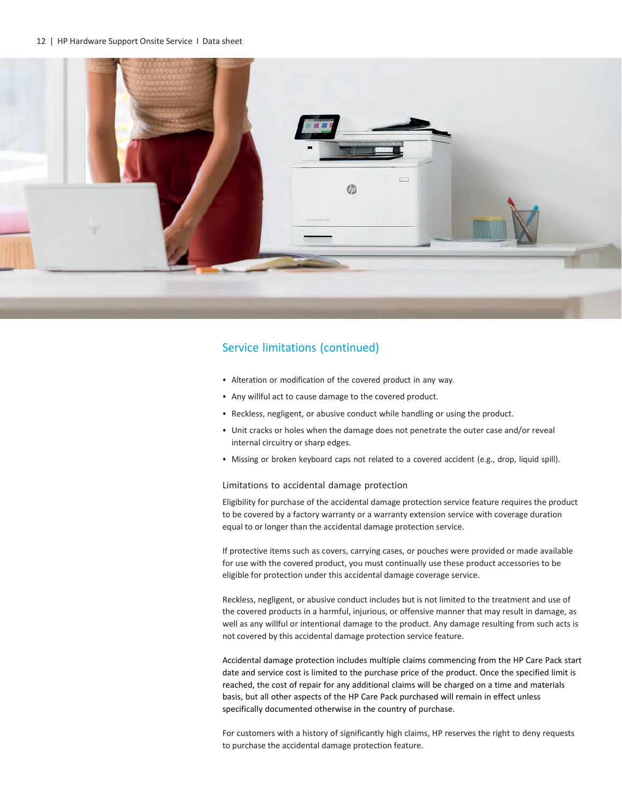#### 12 | HP Hardware Support Onsite Service I Data sheet



### Service limitations (continued)

- Alteration or modification of the covered product in any way.
- Any willful act to cause damage to the covered product.
- Reckless, negligent, or abusive conduct while handling or using the product.
- Unit cracks or holes when the damage does not penetrate the outer case and/or reveal internal circuitry or sharp edges.
- Missing or broken keyboard caps not related to a covered accident (e.g., drop, liquid spill).

#### Limitations to accidental damage protection

Eligibility for purchase of the accidental damage protection service feature requires the product to be covered by a factory warranty or a warranty extension service with coverage duration equal to or longer than the accidental damage protection service.

If protective items such as covers, carrying cases, or pouches were provided or made available for use with the covered product, you must continually use these product accessories to be eligible for protection under this accidental damage coverage service.

Reckless, negligent, or abusive conduct includes but is not limited to the treatment and use of the covered products in a harmful, injurious, or offensive manner that may result in damage, as well as any willful or intentional damage to the product. Any damage resulting from such acts is not covered by this accidental damage protection service feature.

Accidental damage protection includes multiple claims commencing from the HP Care Pack start date and service cost is limited to the purchase price of the product. Once the specified limit is reached, the cost of repair for any additional claims will be charged on a time and materials basis, but all other aspects of the HP Care Pack purchased will remain in effect unless specifically documented otherwise in the country of purchase.

For customers with a history of significantly high claims, HP reserves the right to deny requests to purchase the accidental damage protection feature.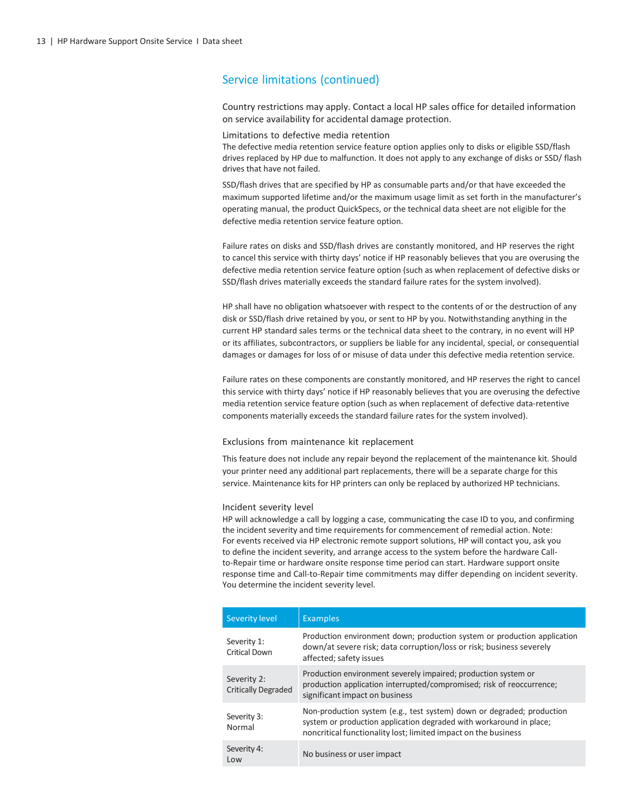Country restrictions may apply. Contact a local HP sales office for detailed information on service availability for accidental damage protection.

#### Limitations to defective media retention

The defective media retention service feature option applies only to disks or eligible SSD/flash drives replaced by HP due to malfunction. It does not apply to any exchange of disks or SSD/ flash drives that have not failed.

SSD/flash drives that are specified by HP as consumable parts and/or that have exceeded the maximum supported lifetime and/or the maximum usage limit as set forth in the manufacturer's operating manual, the product QuickSpecs, or the technical data sheet are not eligible for the defective media retention service feature option.

Failure rates on disks and SSD/flash drives are constantly monitored, and HP reserves the right to cancel this service with thirty days' notice if HP reasonably believes that you are overusing the defective media retention service feature option (such as when replacement of defective disks or SSD/flash drives materially exceeds the standard failure rates for the system involved).

HP shall have no obligation whatsoever with respect to the contents of or the destruction of any disk or SSD/flash drive retained by you, or sent to HP by you. Notwithstanding anything in the current HP standard sales terms or the technical data sheet to the contrary, in no event will HP or its affiliates, subcontractors, or suppliers be liable for any incidental, special, or consequential damages or damages for loss of or misuse of data under this defective media retention service.

Failure rates on these components are constantly monitored, and HP reserves the right to cancel this service with thirty days' notice if HP reasonably believes that you are overusing the defective media retention service feature option (such as when replacement of defective data-retentive components materially exceeds the standard failure rates for the system involved).

#### Exclusions from maintenance kit replacement

This feature does not include any repair beyond the replacement of the maintenance kit. Should your printer need any additional part replacements, there will be a separate charge for this service. Maintenance kits for HP printers can only be replaced by authorized HP technicians.

#### Incident severity level

HP will acknowledge a call by logging a case, communicating the case ID to you, and confirming the incident severity and time requirements for commencement of remedial action. Note: For events received via HP electronic remote support solutions, HP will contact you, ask you to define the incident severity, and arrange access to the system before the hardware Callto-Repair time or hardware onsite response time period can start. Hardware support onsite response time and Call-to-Repair time commitments may differ depending on incident severity. You determine the incident severity level.

| <b>Severity level</b>                     | <b>Examples</b>                                                                                                                                                                                                 |
|-------------------------------------------|-----------------------------------------------------------------------------------------------------------------------------------------------------------------------------------------------------------------|
| Severity 1:<br><b>Critical Down</b>       | Production environment down; production system or production application<br>down/at severe risk; data corruption/loss or risk; business severely<br>affected; safety issues                                     |
| Severity 2:<br><b>Critically Degraded</b> | Production environment severely impaired; production system or<br>production application interrupted/compromised; risk of reoccurrence;<br>significant impact on business                                       |
| Severity 3:<br>Normal                     | Non-production system (e.g., test system) down or degraded; production<br>system or production application degraded with workaround in place;<br>noncritical functionality lost; limited impact on the business |
| Severity 4:<br>Low                        | No business or user impact                                                                                                                                                                                      |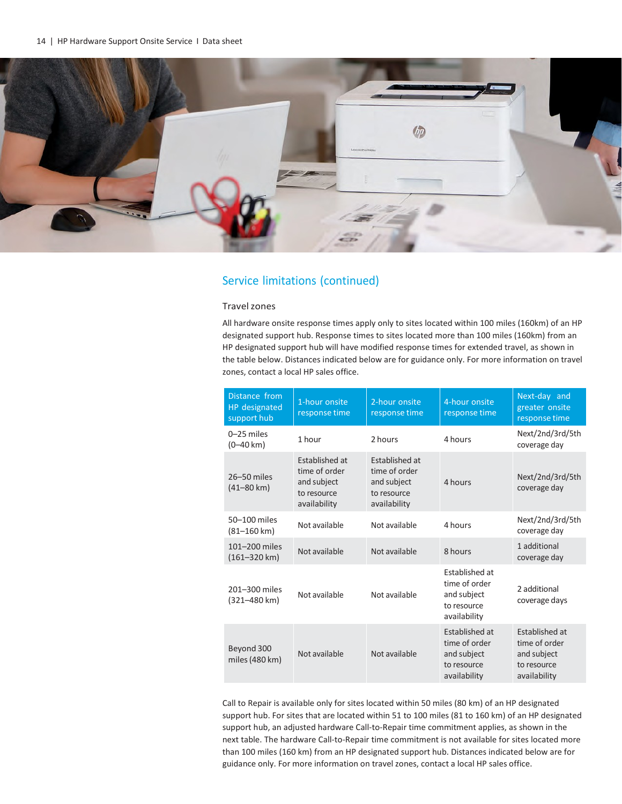

#### Travelzones

All hardware onsite response times apply only to sites located within 100 miles (160km) of an HP designated support hub. Response times to sites located more than 100 miles (160km) from an HP designated support hub will have modified response times for extended travel, as shown in the table below. Distances indicated below are for guidance only. For more information on travel zones, contact a local HP sales office.

| Distance from<br>HP designated<br>support hub | 1-hour onsite<br>response time                                                       | 2-hour onsite<br>response time                                                       | 4-hour onsite<br>response time                                                | Next-day and<br>greater onsite<br>response time                               |
|-----------------------------------------------|--------------------------------------------------------------------------------------|--------------------------------------------------------------------------------------|-------------------------------------------------------------------------------|-------------------------------------------------------------------------------|
| $0 - 25$ miles<br>$(0 - 40 \text{ km})$       | 1 hour                                                                               | 2 hours                                                                              | 4 hours                                                                       | Next/2nd/3rd/5th<br>coverage day                                              |
| 26-50 miles<br>(41–80 km)                     | <b>Established at</b><br>time of order<br>and subject<br>to resource<br>availability | <b>Established at</b><br>time of order<br>and subject<br>to resource<br>availability | 4 hours                                                                       | Next/2nd/3rd/5th<br>coverage day                                              |
| 50-100 miles<br>$(81 - 160 \text{ km})$       | Not available                                                                        | Not available                                                                        | 4 hours                                                                       | Next/2nd/3rd/5th<br>coverage day                                              |
| 101-200 miles<br>$(161 - 320 \text{ km})$     | Not available                                                                        | Not available                                                                        | 8 hours                                                                       | 1 additional<br>coverage day                                                  |
| 201-300 miles<br>(321-480 km)                 | Not available                                                                        | Not available                                                                        | Established at<br>time of order<br>and subject<br>to resource<br>availability | 2 additional<br>coverage days                                                 |
| Beyond 300<br>miles (480 km)                  | Not available                                                                        | Not available                                                                        | Established at<br>time of order<br>and subject<br>to resource<br>availability | Established at<br>time of order<br>and subject<br>to resource<br>availability |

Call to Repair is available only for sites located within 50 miles (80 km) of an HP designated support hub. For sites that are located within 51 to 100 miles (81 to 160 km) of an HP designated support hub, an adjusted hardware Call-to-Repair time commitment applies, as shown in the next table. The hardware Call-to-Repair time commitment is not available for sites located more than 100 miles (160 km) from an HP designated support hub. Distances indicated below are for guidance only. For more information on travel zones, contact a local HP sales office.